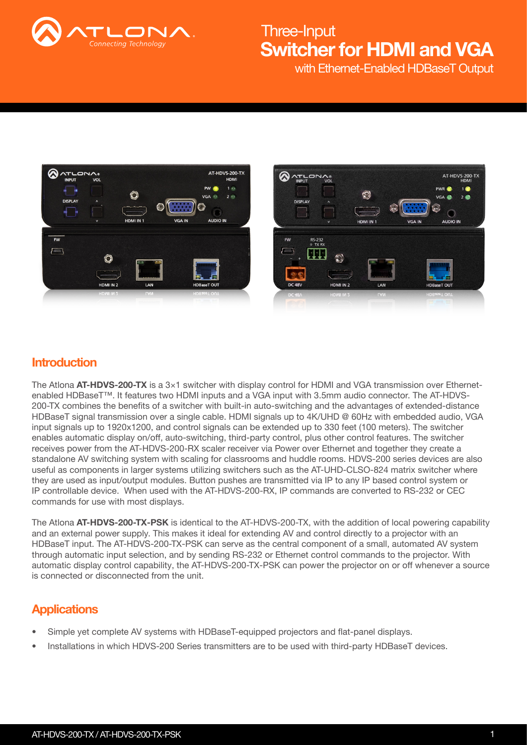

with Ethernet-Enabled HDBaseT Output

 $2<sup>o</sup>$ 



## **Introduction**

The Atlona  $AT-HDVS-200-TX$  is a  $3\times1$  switcher with display control for HDMI and VGA transmission over Ethernetenabled HDBaseT™. It features two HDMI inputs and a VGA input with 3.5mm audio connector. The AT-HDVS-200-TX combines the benefits of a switcher with built-in auto-switching and the advantages of extended-distance HDBaseT signal transmission over a single cable. HDMI signals up to 4K/UHD @ 60Hz with embedded audio, VGA input signals up to 1920x1200, and control signals can be extended up to 330 feet (100 meters). The switcher enables automatic display on/off, auto-switching, third-party control, plus other control features. The switcher receives power from the AT-HDVS-200-RX scaler receiver via Power over Ethernet and together they create a standalone AV switching system with scaling for classrooms and huddle rooms. HDVS-200 series devices are also useful as components in larger systems utilizing switchers such as the AT-UHD-CLSO-824 matrix switcher where they are used as input/output modules. Button pushes are transmitted via IP to any IP based control system or IP controllable device. When used with the AT-HDVS-200-RX, IP commands are converted to RS-232 or CEC commands for use with most displays.

The Atlona AT-HDVS-200-TX-PSK is identical to the AT-HDVS-200-TX, with the addition of local powering capability and an external power supply. This makes it ideal for extending AV and control directly to a projector with an HDBaseT input. The AT-HDVS-200-TX-PSK can serve as the central component of a small, automated AV system through automatic input selection, and by sending RS-232 or Ethernet control commands to the projector. With automatic display control capability, the AT-HDVS-200-TX-PSK can power the projector on or off whenever a source is connected or disconnected from the unit.

## **Applications**

- Simple yet complete AV systems with HDBaseT-equipped projectors and flat-panel displays.
- Installations in which HDVS-200 Series transmitters are to be used with third-party HDBaseT devices.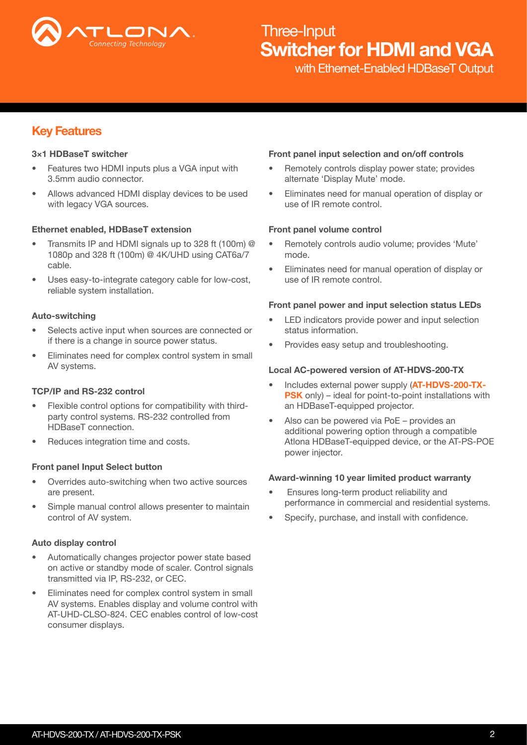

with Ethernet-Enabled HDBaseT Output

## Key Features

### 3×1 HDBaseT switcher

- Features two HDMI inputs plus a VGA input with 3.5mm audio connector.
- Allows advanced HDMI display devices to be used with legacy VGA sources.

### Ethernet enabled, HDBaseT extension

- Transmits IP and HDMI signals up to 328 ft (100m) @ 1080p and 328 ft (100m) @ 4K/UHD using CAT6a/7 cable.
- Uses easy-to-integrate category cable for low-cost, reliable system installation.

#### Auto-switching

- Selects active input when sources are connected or if there is a change in source power status.
- Eliminates need for complex control system in small AV systems.

#### TCP/IP and RS-232 control

- Flexible control options for compatibility with thirdparty control systems. RS-232 controlled from HDBaseT connection.
- Reduces integration time and costs.

#### Front panel Input Select button

- Overrides auto-switching when two active sources are present.
- Simple manual control allows presenter to maintain control of AV system.

### Auto display control

- Automatically changes projector power state based on active or standby mode of scaler. Control signals transmitted via IP, RS-232, or CEC.
- Eliminates need for complex control system in small AV systems. Enables display and volume control with AT-UHD-CLSO-824. CEC enables control of low-cost consumer displays.

#### Front panel input selection and on/off controls

- Remotely controls display power state; provides alternate 'Display Mute' mode.
- Eliminates need for manual operation of display or use of IR remote control.

#### Front panel volume control

- Remotely controls audio volume; provides 'Mute' mode.
- Eliminates need for manual operation of display or use of IR remote control.

#### Front panel power and input selection status LEDs

- LED indicators provide power and input selection status information.
- Provides easy setup and troubleshooting.

#### Local AC-powered version of AT-HDVS-200-TX

- Includes external power supply (AT-HDVS-200-TX-PSK only) – ideal for point-to-point installations with an HDBaseT-equipped projector.
- Also can be powered via PoE provides an additional powering option through a compatible Atlona HDBaseT-equipped device, or the AT-PS-POE power injector.

#### Award-winning 10 year limited product warranty

- Ensures long-term product reliability and performance in commercial and residential systems.
- Specify, purchase, and install with confidence.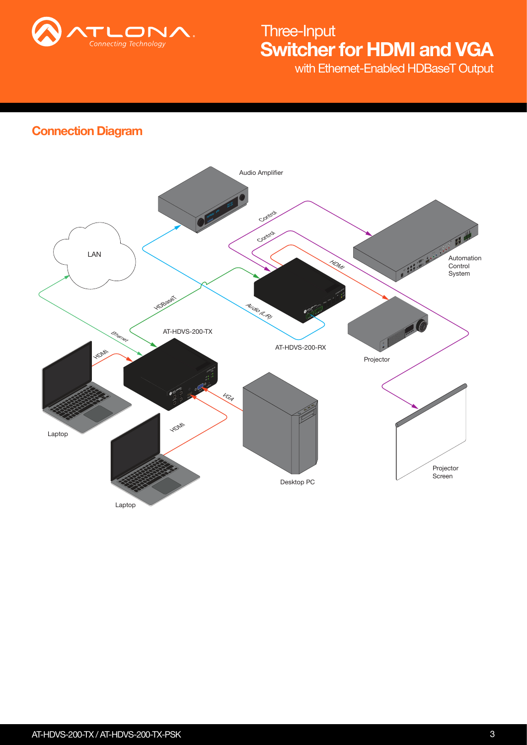

with Ethernet-Enabled HDBaseT Output

## Connection Diagram